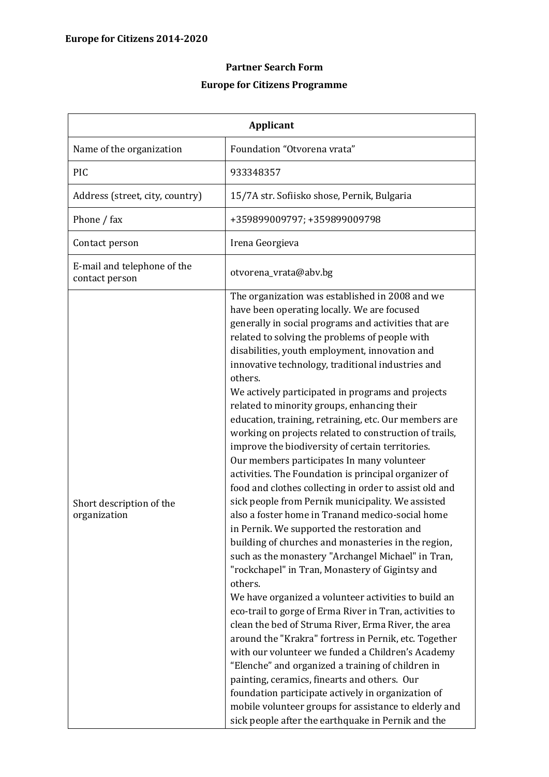## **Partner Search Form Europe for Citizens Programme**

| <b>Applicant</b>                              |                                                                                                                                                                                                                                                                                                                                                                                                                                                                                                                                                                                                                                                                                                                                                                                                                                                                                                                                                                                                                                                                                                                                                                                                                                                                                                                                                                                                                                                                                                                                                                                                                                                                            |
|-----------------------------------------------|----------------------------------------------------------------------------------------------------------------------------------------------------------------------------------------------------------------------------------------------------------------------------------------------------------------------------------------------------------------------------------------------------------------------------------------------------------------------------------------------------------------------------------------------------------------------------------------------------------------------------------------------------------------------------------------------------------------------------------------------------------------------------------------------------------------------------------------------------------------------------------------------------------------------------------------------------------------------------------------------------------------------------------------------------------------------------------------------------------------------------------------------------------------------------------------------------------------------------------------------------------------------------------------------------------------------------------------------------------------------------------------------------------------------------------------------------------------------------------------------------------------------------------------------------------------------------------------------------------------------------------------------------------------------------|
| Name of the organization                      | Foundation "Otvorena vrata"                                                                                                                                                                                                                                                                                                                                                                                                                                                                                                                                                                                                                                                                                                                                                                                                                                                                                                                                                                                                                                                                                                                                                                                                                                                                                                                                                                                                                                                                                                                                                                                                                                                |
| PIC                                           | 933348357                                                                                                                                                                                                                                                                                                                                                                                                                                                                                                                                                                                                                                                                                                                                                                                                                                                                                                                                                                                                                                                                                                                                                                                                                                                                                                                                                                                                                                                                                                                                                                                                                                                                  |
| Address (street, city, country)               | 15/7A str. Sofiisko shose, Pernik, Bulgaria                                                                                                                                                                                                                                                                                                                                                                                                                                                                                                                                                                                                                                                                                                                                                                                                                                                                                                                                                                                                                                                                                                                                                                                                                                                                                                                                                                                                                                                                                                                                                                                                                                |
| Phone / fax                                   | +359899009797; +359899009798                                                                                                                                                                                                                                                                                                                                                                                                                                                                                                                                                                                                                                                                                                                                                                                                                                                                                                                                                                                                                                                                                                                                                                                                                                                                                                                                                                                                                                                                                                                                                                                                                                               |
| Contact person                                | Irena Georgieva                                                                                                                                                                                                                                                                                                                                                                                                                                                                                                                                                                                                                                                                                                                                                                                                                                                                                                                                                                                                                                                                                                                                                                                                                                                                                                                                                                                                                                                                                                                                                                                                                                                            |
| E-mail and telephone of the<br>contact person | otvorena_vrata@abv.bg                                                                                                                                                                                                                                                                                                                                                                                                                                                                                                                                                                                                                                                                                                                                                                                                                                                                                                                                                                                                                                                                                                                                                                                                                                                                                                                                                                                                                                                                                                                                                                                                                                                      |
| Short description of the<br>organization      | The organization was established in 2008 and we<br>have been operating locally. We are focused<br>generally in social programs and activities that are<br>related to solving the problems of people with<br>disabilities, youth employment, innovation and<br>innovative technology, traditional industries and<br>others.<br>We actively participated in programs and projects<br>related to minority groups, enhancing their<br>education, training, retraining, etc. Our members are<br>working on projects related to construction of trails,<br>improve the biodiversity of certain territories.<br>Our members participates In many volunteer<br>activities. The Foundation is principal organizer of<br>food and clothes collecting in order to assist old and<br>sick people from Pernik municipality. We assisted<br>also a foster home in Tranand medico-social home<br>in Pernik. We supported the restoration and<br>building of churches and monasteries in the region,<br>such as the monastery "Archangel Michael" in Tran,<br>"rockchapel" in Tran, Monastery of Gigintsy and<br>others.<br>We have organized a volunteer activities to build an<br>eco-trail to gorge of Erma River in Tran, activities to<br>clean the bed of Struma River, Erma River, the area<br>around the "Krakra" fortress in Pernik, etc. Together<br>with our volunteer we funded a Children's Academy<br>"Elenche" and organized a training of children in<br>painting, ceramics, finearts and others. Our<br>foundation participate actively in organization of<br>mobile volunteer groups for assistance to elderly and<br>sick people after the earthquake in Pernik and the |